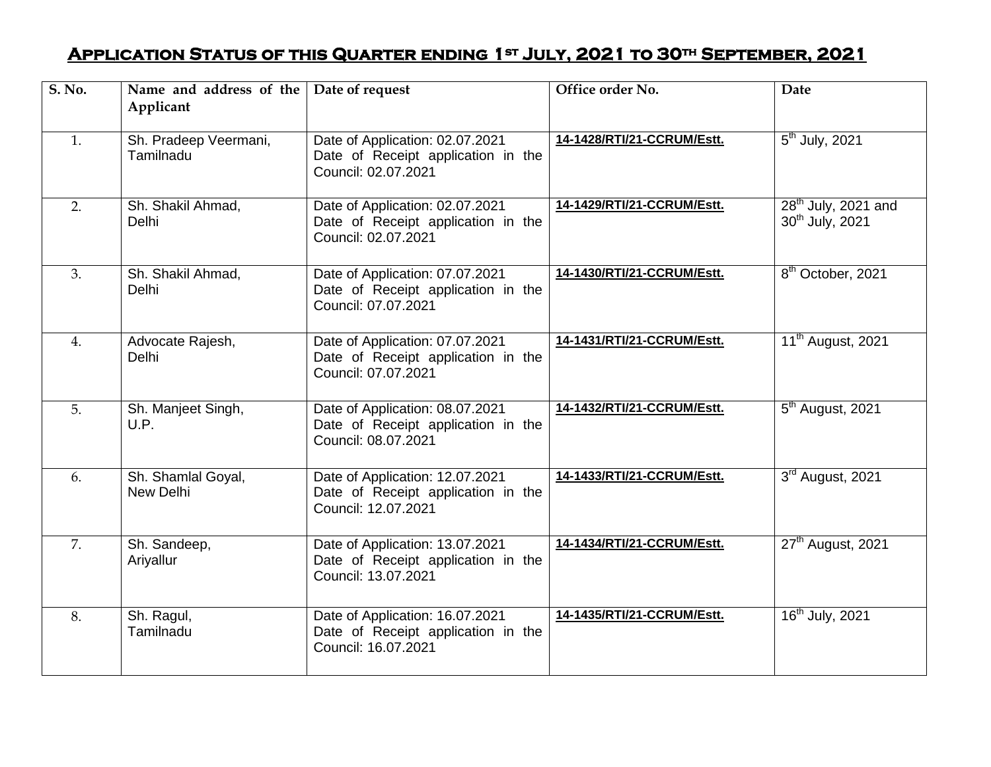## **Application Status of this Quarter ending 1st July, 2021 to 30th September, 2021**

| S. No. | Name and address of the<br>Applicant | Date of request                                                                              | Office order No.           | <b>Date</b>                                          |
|--------|--------------------------------------|----------------------------------------------------------------------------------------------|----------------------------|------------------------------------------------------|
| 1.     | Sh. Pradeep Veermani,<br>Tamilnadu   | Date of Application: 02.07.2021<br>Date of Receipt application in the<br>Council: 02.07.2021 | 14-1428/RTI/21-CCRUM/Estt. | $5th$ July, 2021                                     |
| 2.     | Sh. Shakil Ahmad,<br>Delhi           | Date of Application: 02.07.2021<br>Date of Receipt application in the<br>Council: 02.07.2021 | 14-1429/RTI/21-CCRUM/Estt. | $28th$ July, 2021 and<br>30 <sup>th</sup> July, 2021 |
| 3.     | Sh. Shakil Ahmad,<br>Delhi           | Date of Application: 07.07.2021<br>Date of Receipt application in the<br>Council: 07.07.2021 | 14-1430/RTI/21-CCRUM/Estt. | 8 <sup>th</sup> October, 2021                        |
| 4.     | Advocate Rajesh,<br>Delhi            | Date of Application: 07.07.2021<br>Date of Receipt application in the<br>Council: 07.07.2021 | 14-1431/RTI/21-CCRUM/Estt. | 11 <sup>th</sup> August, 2021                        |
| 5.     | Sh. Manjeet Singh,<br>U.P.           | Date of Application: 08.07.2021<br>Date of Receipt application in the<br>Council: 08.07.2021 | 14-1432/RTI/21-CCRUM/Estt. | 5 <sup>th</sup> August, 2021                         |
| 6.     | Sh. Shamlal Goyal,<br>New Delhi      | Date of Application: 12.07.2021<br>Date of Receipt application in the<br>Council: 12.07.2021 | 14-1433/RTI/21-CCRUM/Estt. | 3rd August, 2021                                     |
| 7.     | Sh. Sandeep,<br>Ariyallur            | Date of Application: 13.07.2021<br>Date of Receipt application in the<br>Council: 13.07.2021 | 14-1434/RTI/21-CCRUM/Estt. | 27 <sup>th</sup> August, 2021                        |
| 8.     | Sh. Ragul,<br>Tamilnadu              | Date of Application: 16.07.2021<br>Date of Receipt application in the<br>Council: 16.07.2021 | 14-1435/RTI/21-CCRUM/Estt. | 16 <sup>th</sup> July, 2021                          |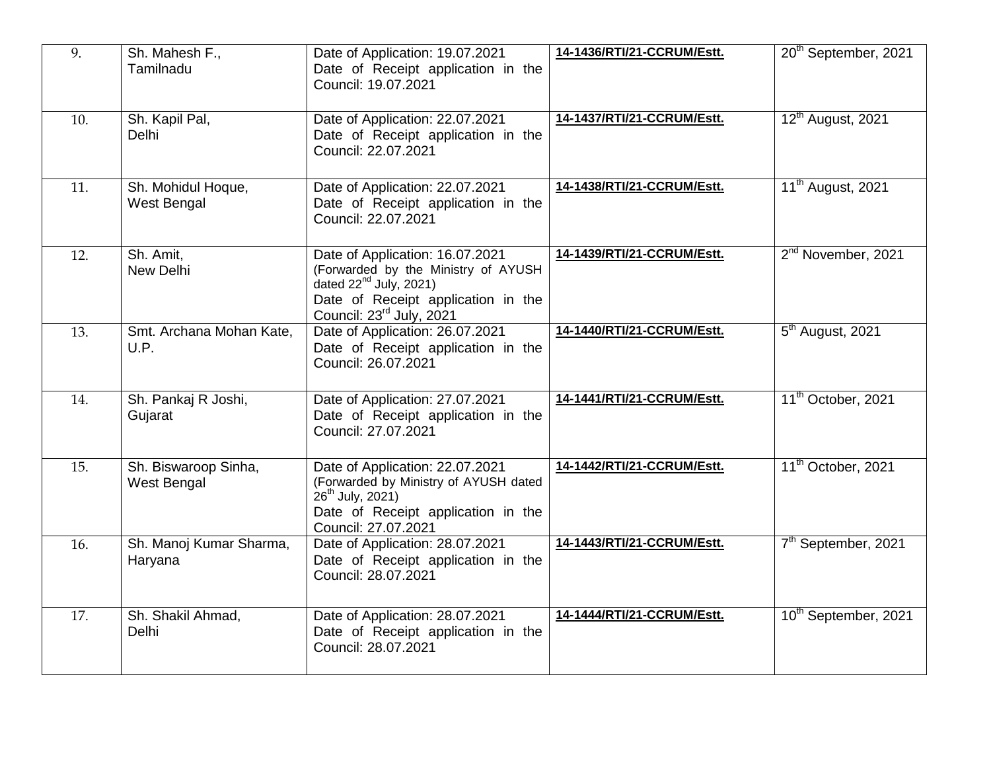| 9.  | Sh. Mahesh F.,<br>Tamilnadu         | Date of Application: 19.07.2021<br>Date of Receipt application in the<br>Council: 19.07.2021                                                                                        | 14-1436/RTI/21-CCRUM/Estt. | 20 <sup>th</sup> September, 2021 |
|-----|-------------------------------------|-------------------------------------------------------------------------------------------------------------------------------------------------------------------------------------|----------------------------|----------------------------------|
| 10. | Sh. Kapil Pal,<br>Delhi             | Date of Application: 22.07.2021<br>Date of Receipt application in the<br>Council: 22.07.2021                                                                                        | 14-1437/RTI/21-CCRUM/Estt. | 12 <sup>th</sup> August, 2021    |
| 11. | Sh. Mohidul Hoque,<br>West Bengal   | Date of Application: 22.07.2021<br>Date of Receipt application in the<br>Council: 22.07.2021                                                                                        | 14-1438/RTI/21-CCRUM/Estt. | 11 <sup>th</sup> August, 2021    |
| 12. | Sh. Amit,<br>New Delhi              | Date of Application: 16.07.2021<br>(Forwarded by the Ministry of AYUSH<br>dated $22^{nd}$ July, 2021)<br>Date of Receipt application in the<br>Council: 23 <sup>rd</sup> July, 2021 | 14-1439/RTI/21-CCRUM/Estt. | 2 <sup>nd</sup> November, 2021   |
| 13. | Smt. Archana Mohan Kate,<br>U.P.    | Date of Application: 26.07.2021<br>Date of Receipt application in the<br>Council: 26.07.2021                                                                                        | 14-1440/RTI/21-CCRUM/Estt. | 5 <sup>th</sup> August, 2021     |
| 14. | Sh. Pankaj R Joshi,<br>Gujarat      | Date of Application: 27.07.2021<br>Date of Receipt application in the<br>Council: 27.07.2021                                                                                        | 14-1441/RTI/21-CCRUM/Estt. | 11 <sup>th</sup> October, 2021   |
| 15. | Sh. Biswaroop Sinha,<br>West Bengal | Date of Application: 22.07.2021<br>(Forwarded by Ministry of AYUSH dated<br>26 <sup>th</sup> July, 2021)<br>Date of Receipt application in the<br>Council: 27.07.2021               | 14-1442/RTI/21-CCRUM/Estt. | 11 <sup>th</sup> October, 2021   |
| 16. | Sh. Manoj Kumar Sharma,<br>Haryana  | Date of Application: 28.07.2021<br>Date of Receipt application in the<br>Council: 28.07.2021                                                                                        | 14-1443/RTI/21-CCRUM/Estt. | 7 <sup>th</sup> September, 2021  |
| 17. | Sh. Shakil Ahmad,<br>Delhi          | Date of Application: 28.07.2021<br>Date of Receipt application in the<br>Council: 28.07.2021                                                                                        | 14-1444/RTI/21-CCRUM/Estt. | 10 <sup>th</sup> September, 2021 |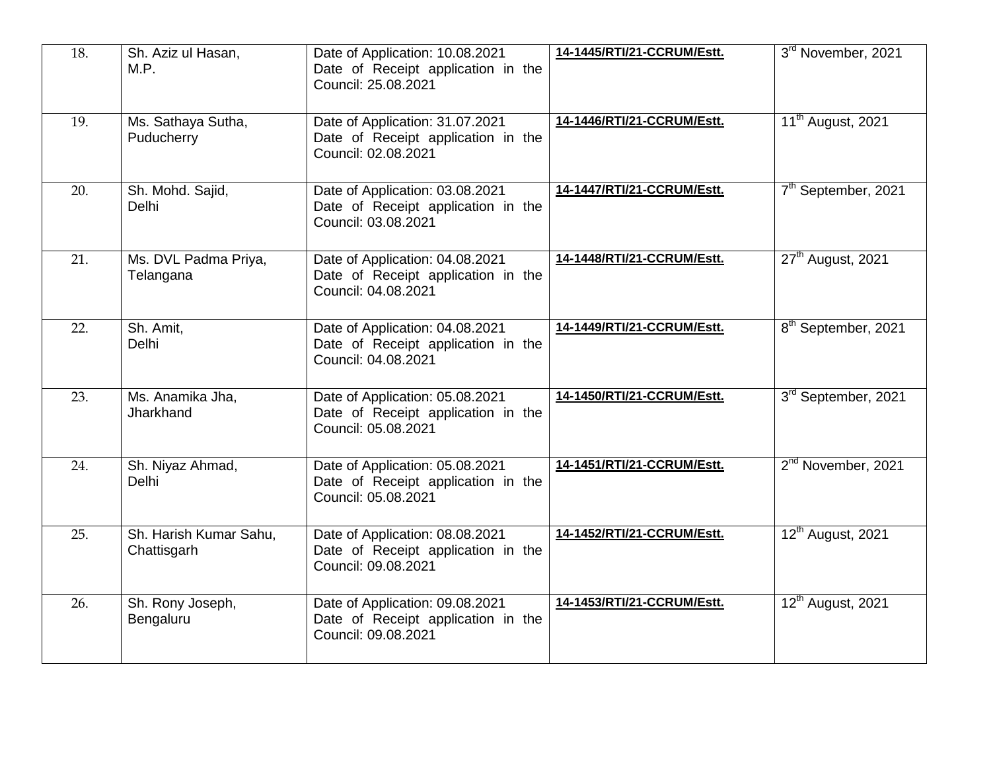| 18. | Sh. Aziz ul Hasan,<br>M.P.            | Date of Application: 10.08.2021<br>Date of Receipt application in the<br>Council: 25.08.2021 | 14-1445/RTI/21-CCRUM/Estt. | 3rd November, 2021              |
|-----|---------------------------------------|----------------------------------------------------------------------------------------------|----------------------------|---------------------------------|
| 19. | Ms. Sathaya Sutha,<br>Puducherry      | Date of Application: 31.07.2021<br>Date of Receipt application in the<br>Council: 02.08.2021 | 14-1446/RTI/21-CCRUM/Estt. | 11 <sup>th</sup> August, 2021   |
| 20. | Sh. Mohd. Sajid,<br><b>Delhi</b>      | Date of Application: 03.08.2021<br>Date of Receipt application in the<br>Council: 03.08.2021 | 14-1447/RTI/21-CCRUM/Estt. | 7th September, 2021             |
| 21. | Ms. DVL Padma Priya,<br>Telangana     | Date of Application: 04.08.2021<br>Date of Receipt application in the<br>Council: 04.08.2021 | 14-1448/RTI/21-CCRUM/Estt. | 27 <sup>th</sup> August, 2021   |
| 22. | Sh. Amit.<br><b>Delhi</b>             | Date of Application: 04.08.2021<br>Date of Receipt application in the<br>Council: 04.08.2021 | 14-1449/RTI/21-CCRUM/Estt. | 8 <sup>th</sup> September, 2021 |
| 23. | Ms. Anamika Jha,<br>Jharkhand         | Date of Application: 05.08.2021<br>Date of Receipt application in the<br>Council: 05.08.2021 | 14-1450/RTI/21-CCRUM/Estt. | 3rd September, 2021             |
| 24. | Sh. Niyaz Ahmad,<br><b>Delhi</b>      | Date of Application: 05.08.2021<br>Date of Receipt application in the<br>Council: 05.08.2021 | 14-1451/RTI/21-CCRUM/Estt. | 2 <sup>nd</sup> November, 2021  |
| 25. | Sh. Harish Kumar Sahu,<br>Chattisgarh | Date of Application: 08.08.2021<br>Date of Receipt application in the<br>Council: 09.08.2021 | 14-1452/RTI/21-CCRUM/Estt. | 12 <sup>th</sup> August, 2021   |
| 26. | Sh. Rony Joseph,<br>Bengaluru         | Date of Application: 09.08.2021<br>Date of Receipt application in the<br>Council: 09.08.2021 | 14-1453/RTI/21-CCRUM/Estt. | 12 <sup>th</sup> August, 2021   |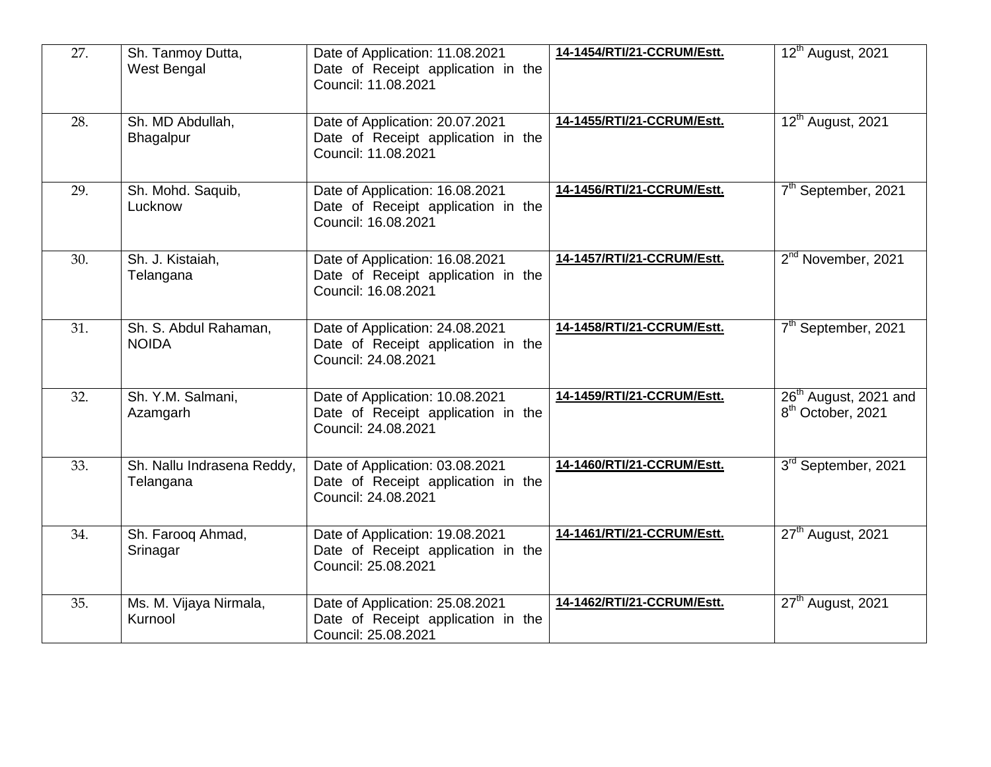| 27. | Sh. Tanmoy Dutta,<br>West Bengal        | Date of Application: 11.08.2021<br>Date of Receipt application in the<br>Council: 11.08.2021 | 14-1454/RTI/21-CCRUM/Estt. | 12 <sup>th</sup> August, 2021                                      |
|-----|-----------------------------------------|----------------------------------------------------------------------------------------------|----------------------------|--------------------------------------------------------------------|
| 28. | Sh. MD Abdullah,<br>Bhagalpur           | Date of Application: 20.07.2021<br>Date of Receipt application in the<br>Council: 11.08.2021 | 14-1455/RTI/21-CCRUM/Estt. | 12 <sup>th</sup> August, 2021                                      |
| 29. | Sh. Mohd. Saquib,<br>Lucknow            | Date of Application: 16.08.2021<br>Date of Receipt application in the<br>Council: 16.08.2021 | 14-1456/RTI/21-CCRUM/Estt. | 7 <sup>th</sup> September, 2021                                    |
| 30. | Sh. J. Kistaiah,<br>Telangana           | Date of Application: 16.08.2021<br>Date of Receipt application in the<br>Council: 16.08.2021 | 14-1457/RTI/21-CCRUM/Estt. | 2 <sup>nd</sup> November, 2021                                     |
| 31. | Sh. S. Abdul Rahaman,<br><b>NOIDA</b>   | Date of Application: 24.08.2021<br>Date of Receipt application in the<br>Council: 24.08.2021 | 14-1458/RTI/21-CCRUM/Estt. | 7 <sup>th</sup> September, 2021                                    |
| 32. | Sh. Y.M. Salmani,<br>Azamgarh           | Date of Application: 10.08.2021<br>Date of Receipt application in the<br>Council: 24.08.2021 | 14-1459/RTI/21-CCRUM/Estt. | 26 <sup>th</sup> August, 2021 and<br>8 <sup>th</sup> October, 2021 |
| 33. | Sh. Nallu Indrasena Reddy,<br>Telangana | Date of Application: 03.08.2021<br>Date of Receipt application in the<br>Council: 24.08.2021 | 14-1460/RTI/21-CCRUM/Estt. | 3rd September, 2021                                                |
| 34. | Sh. Farooq Ahmad,<br>Srinagar           | Date of Application: 19.08.2021<br>Date of Receipt application in the<br>Council: 25.08.2021 | 14-1461/RTI/21-CCRUM/Estt. | 27 <sup>th</sup> August, 2021                                      |
| 35. | Ms. M. Vijaya Nirmala,<br>Kurnool       | Date of Application: 25.08.2021<br>Date of Receipt application in the<br>Council: 25.08.2021 | 14-1462/RTI/21-CCRUM/Estt. | $27th$ August, 2021                                                |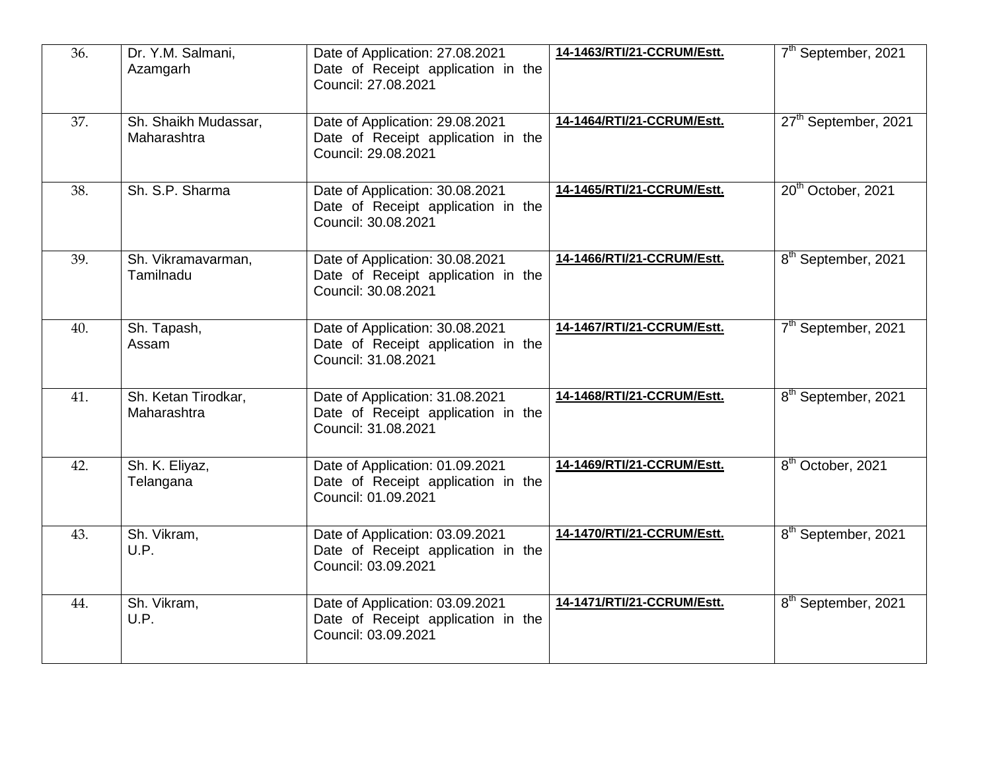| 36. | Dr. Y.M. Salmani,<br>Azamgarh       | Date of Application: 27.08.2021<br>Date of Receipt application in the<br>Council: 27.08.2021 | 14-1463/RTI/21-CCRUM/Estt. | 7 <sup>th</sup> September, 2021  |
|-----|-------------------------------------|----------------------------------------------------------------------------------------------|----------------------------|----------------------------------|
| 37. | Sh. Shaikh Mudassar,<br>Maharashtra | Date of Application: 29.08.2021<br>Date of Receipt application in the<br>Council: 29.08.2021 | 14-1464/RTI/21-CCRUM/Estt. | 27 <sup>th</sup> September, 2021 |
| 38. | Sh. S.P. Sharma                     | Date of Application: 30.08.2021<br>Date of Receipt application in the<br>Council: 30.08.2021 | 14-1465/RTI/21-CCRUM/Estt. | 20 <sup>th</sup> October, 2021   |
| 39. | Sh. Vikramavarman,<br>Tamilnadu     | Date of Application: 30.08.2021<br>Date of Receipt application in the<br>Council: 30.08.2021 | 14-1466/RTI/21-CCRUM/Estt. | 8 <sup>th</sup> September, 2021  |
| 40. | Sh. Tapash,<br>Assam                | Date of Application: 30.08.2021<br>Date of Receipt application in the<br>Council: 31.08.2021 | 14-1467/RTI/21-CCRUM/Estt. | 7 <sup>th</sup> September, 2021  |
| 41. | Sh. Ketan Tirodkar,<br>Maharashtra  | Date of Application: 31.08.2021<br>Date of Receipt application in the<br>Council: 31.08.2021 | 14-1468/RTI/21-CCRUM/Estt. | 8 <sup>th</sup> September, 2021  |
| 42. | Sh. K. Eliyaz,<br>Telangana         | Date of Application: 01.09.2021<br>Date of Receipt application in the<br>Council: 01.09.2021 | 14-1469/RTI/21-CCRUM/Estt. | 8 <sup>th</sup> October, 2021    |
| 43. | Sh. Vikram,<br>U.P.                 | Date of Application: 03.09.2021<br>Date of Receipt application in the<br>Council: 03.09.2021 | 14-1470/RTI/21-CCRUM/Estt. | 8 <sup>th</sup> September, 2021  |
| 44. | Sh. Vikram,<br>U.P.                 | Date of Application: 03.09.2021<br>Date of Receipt application in the<br>Council: 03.09.2021 | 14-1471/RTI/21-CCRUM/Estt. | 8 <sup>th</sup> September, 2021  |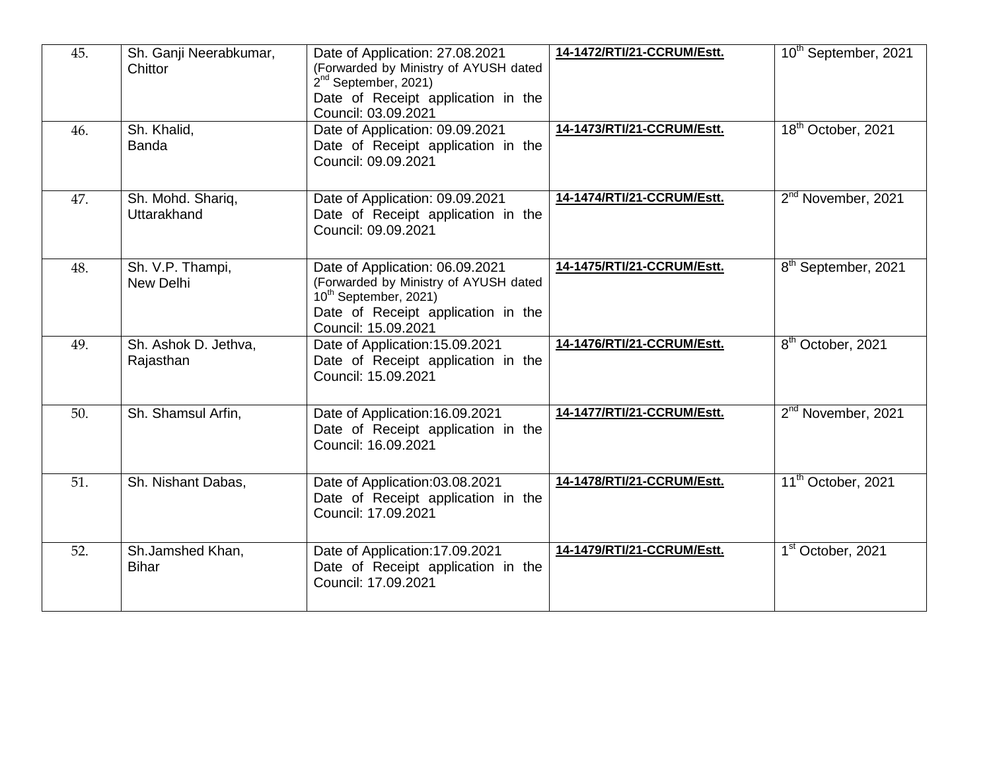| 45. | Sh. Ganji Neerabkumar,<br>Chittor | Date of Application: 27.08.2021<br>(Forwarded by Ministry of AYUSH dated<br>$2nd$ September, 2021)<br>Date of Receipt application in the<br>Council: 03.09.2021            | 14-1472/RTI/21-CCRUM/Estt. | 10 <sup>th</sup> September, 2021 |
|-----|-----------------------------------|----------------------------------------------------------------------------------------------------------------------------------------------------------------------------|----------------------------|----------------------------------|
| 46. | Sh. Khalid,<br><b>Banda</b>       | Date of Application: 09.09.2021<br>Date of Receipt application in the<br>Council: 09.09.2021                                                                               | 14-1473/RTI/21-CCRUM/Estt. | 18 <sup>th</sup> October, 2021   |
| 47. | Sh. Mohd. Shariq,<br>Uttarakhand  | Date of Application: 09.09.2021<br>Date of Receipt application in the<br>Council: 09.09.2021                                                                               | 14-1474/RTI/21-CCRUM/Estt. | 2 <sup>nd</sup> November, 2021   |
| 48. | Sh. V.P. Thampi,<br>New Delhi     | Date of Application: 06.09.2021<br>(Forwarded by Ministry of AYUSH dated<br>10 <sup>th</sup> September, 2021)<br>Date of Receipt application in the<br>Council: 15.09.2021 | 14-1475/RTI/21-CCRUM/Estt. | 8 <sup>th</sup> September, 2021  |
| 49. | Sh. Ashok D. Jethva,<br>Rajasthan | Date of Application: 15.09.2021<br>Date of Receipt application in the<br>Council: 15.09.2021                                                                               | 14-1476/RTI/21-CCRUM/Estt. | $8th$ October, 2021              |
| 50. | Sh. Shamsul Arfin,                | Date of Application: 16.09.2021<br>Date of Receipt application in the<br>Council: 16.09.2021                                                                               | 14-1477/RTI/21-CCRUM/Estt. | 2 <sup>nd</sup> November, 2021   |
| 51. | Sh. Nishant Dabas,                | Date of Application:03.08.2021<br>Date of Receipt application in the<br>Council: 17.09.2021                                                                                | 14-1478/RTI/21-CCRUM/Estt. | 11 <sup>th</sup> October, 2021   |
| 52. | Sh.Jamshed Khan,<br><b>Bihar</b>  | Date of Application: 17.09.2021<br>Date of Receipt application in the<br>Council: 17.09.2021                                                                               | 14-1479/RTI/21-CCRUM/Estt. | 1 <sup>st</sup> October, 2021    |